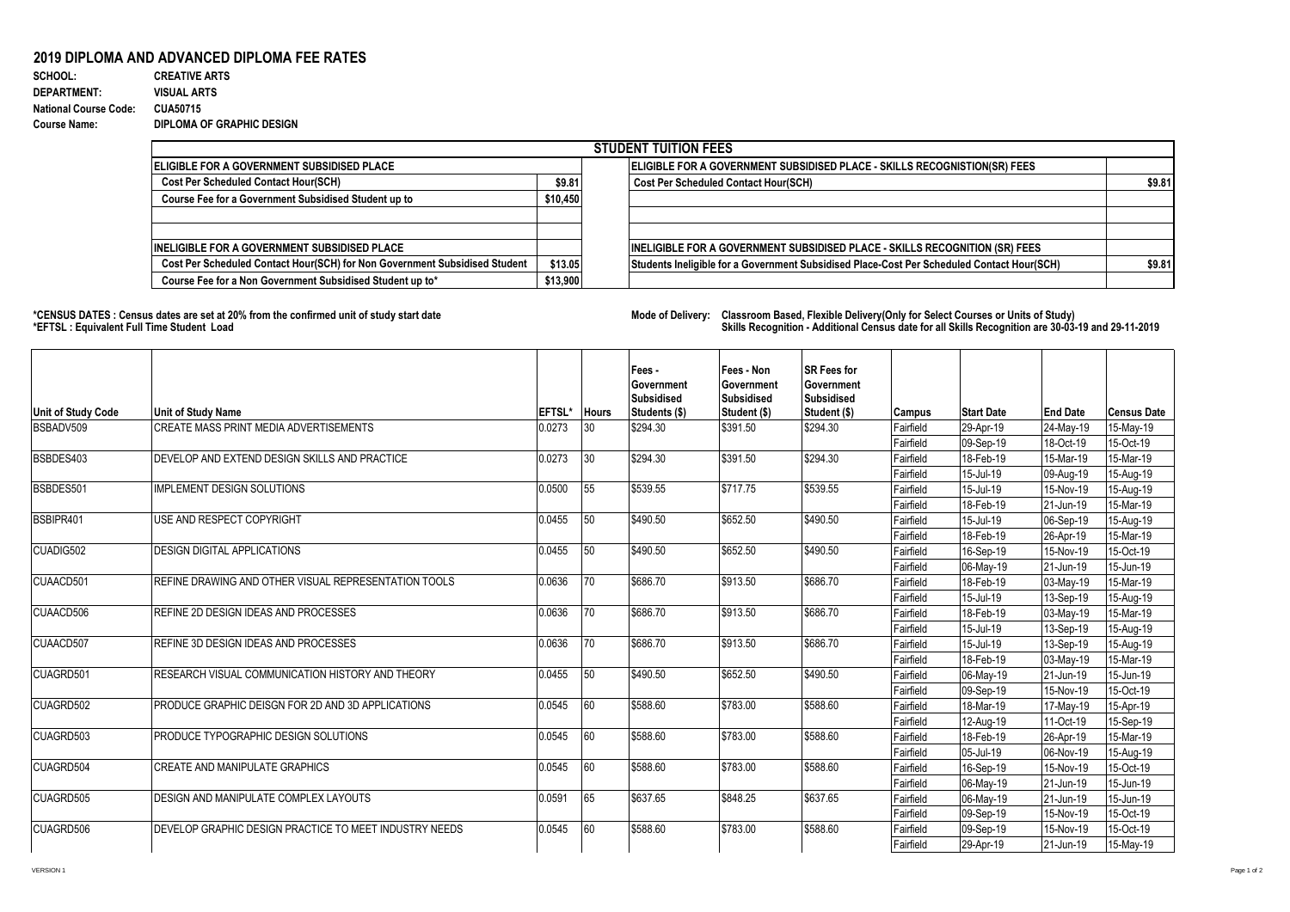## **2019 DIPLOMA AND ADVANCED DIPLOMA FEE RATES**

## **SCHOOL:** CREATIVE ARTS **DEPARTMENT: VISUAL ARTS National Course Code: CUA50715 Course Name: DIPLOMA OF GRAPHIC DESIGN**

| <b>STUDENT TUITION FEES</b>                                                |          |                                                                                            |        |  |  |  |  |  |  |
|----------------------------------------------------------------------------|----------|--------------------------------------------------------------------------------------------|--------|--|--|--|--|--|--|
| ELIGIBLE FOR A GOVERNMENT SUBSIDISED PLACE                                 |          | ELIGIBLE FOR A GOVERNMENT SUBSIDISED PLACE - SKILLS RECOGNISTION(SR) FEES                  |        |  |  |  |  |  |  |
| <b>Cost Per Scheduled Contact Hour(SCH)</b>                                | \$9.81   | <b>Cost Per Scheduled Contact Hour(SCH)</b>                                                | \$9.81 |  |  |  |  |  |  |
| Course Fee for a Government Subsidised Student up to                       | \$10,450 |                                                                                            |        |  |  |  |  |  |  |
|                                                                            |          |                                                                                            |        |  |  |  |  |  |  |
| <b>INELIGIBLE FOR A GOVERNMENT SUBSIDISED PLACE</b>                        |          | <b>INELIGIBLE FOR A GOVERNMENT SUBSIDISED PLACE - SKILLS RECOGNITION (SR) FEES</b>         |        |  |  |  |  |  |  |
| Cost Per Scheduled Contact Hour(SCH) for Non Government Subsidised Student | \$13.05  | Students Ineligible for a Government Subsidised Place-Cost Per Scheduled Contact Hour(SCH) | \$9.81 |  |  |  |  |  |  |
| Course Fee for a Non Government Subsidised Student up to*                  | \$13,900 |                                                                                            |        |  |  |  |  |  |  |

**\*CENSUS DATES : Census dates are set at 20% from the confirmed unit of study start date Mode of Delivery: Classroom Based, Flexible Delivery(Only for Select Courses or Units of Study) \*EFTSL : Equivalent Full Time Student Load Skills Recognition - Additional Census date for all Skills Recognition are 30-03-19 and 29-11-2019** 

|                           |                                                        |        |              | Fees -<br>Government               | Fees - Non<br>Government          | <b>SR Fees for</b><br>Government  |                        |                        |                        |                        |
|---------------------------|--------------------------------------------------------|--------|--------------|------------------------------------|-----------------------------------|-----------------------------------|------------------------|------------------------|------------------------|------------------------|
| <b>Unit of Study Code</b> | <b>Unit of Study Name</b>                              | EFTSL* | <b>Hours</b> | <b>Subsidised</b><br>Students (\$) | <b>Subsidised</b><br>Student (\$) | <b>Subsidised</b><br>Student (\$) | Campus                 | <b>Start Date</b>      | <b>End Date</b>        | <b>Census Date</b>     |
| BSBADV509                 | <b>CREATE MASS PRINT MEDIA ADVERTISEMENTS</b>          | 0.0273 | 30           | \$294.30                           | \$391.50                          | \$294.30                          | Fairfield              | 29-Apr-19              | 24-May-19              | 15-May-19              |
|                           |                                                        |        |              |                                    |                                   |                                   | Fairfield              | 09-Sep-19              | 18-Oct-19              | 15-Oct-19              |
| BSBDES403                 | DEVELOP AND EXTEND DESIGN SKILLS AND PRACTICE          | 0.0273 | 30           | \$294.30                           | \$391.50                          | \$294.30                          | Fairfield              | 18-Feb-19              | 15-Mar-19              | 15-Mar-19              |
|                           |                                                        |        |              |                                    |                                   |                                   | Fairfield              | 15-Jul-19              | 09-Aug-19              | 15-Aug-19              |
| BSBDES501                 | <b>IMPLEMENT DESIGN SOLUTIONS</b>                      | 0.0500 | 55           | \$539.55                           | \$717.75                          | \$539.55                          | Fairfield              | 15-Jul-19              | 15-Nov-19              | 15-Aug-19              |
|                           |                                                        |        |              |                                    |                                   |                                   | Fairfield              | 18-Feb-19              | 21-Jun-19              | 15-Mar-19              |
| BSBIPR401                 | USE AND RESPECT COPYRIGHT                              | 0.0455 | 50           | \$490.50                           | \$652.50                          | \$490.50                          | Fairfield              | 15-Jul-19              | 06-Sep-19              | 15-Aug-19              |
|                           |                                                        |        |              |                                    |                                   |                                   | Fairfield              | 18-Feb-19              | 26-Apr-19              | 15-Mar-19              |
| CUADIG502                 | <b>DESIGN DIGITAL APPLICATIONS</b>                     | 0.0455 | 50           | \$490.50                           | \$652.50                          | \$490.50                          | Fairfield              | 16-Sep-19              | 15-Nov-19              | 15-Oct-19              |
|                           |                                                        |        |              |                                    |                                   |                                   | Fairfield              | 06-May-19              | 21-Jun-19              | 15-Jun-19              |
| CUAACD501                 | REFINE DRAWING AND OTHER VISUAL REPRESENTATION TOOLS   | 0.0636 | 70           | \$686.70                           | \$913.50                          | \$686.70                          | Fairfield              | 18-Feb-19              | 03-May-19              | 15-Mar-19              |
|                           |                                                        |        |              |                                    |                                   |                                   | Fairfield              | 15-Jul-19              | 13-Sep-19              | 15-Aug-19              |
| CUAACD506                 | REFINE 2D DESIGN IDEAS AND PROCESSES                   | 0.0636 | 70           | \$686.70                           | \$913.50                          | \$686.70                          | Fairfield              | 18-Feb-19              | 03-May-19              | 15-Mar-19              |
|                           |                                                        |        |              |                                    |                                   |                                   | Fairfield              | 15-Jul-19              | 13-Sep-19              | 15-Aug-19              |
| CUAACD507                 | <b>REFINE 3D DESIGN IDEAS AND PROCESSES</b>            | 0.0636 | 70           | \$686.70                           | \$913.50                          | \$686.70                          | Fairfield              | 15-Jul-19              | 13-Sep-19              | 15-Aug-19              |
|                           |                                                        |        |              |                                    |                                   |                                   | Fairfield              | 18-Feb-19              | 03-May-19              | 15-Mar-19              |
| CUAGRD501                 | RESEARCH VISUAL COMMUNICATION HISTORY AND THEORY       | 0.0455 | 50           | \$490.50                           | \$652.50                          | \$490.50                          | Fairfield              | 06-May-19              | 21-Jun-19              | 15-Jun-19              |
| CUAGRD502                 | PRODUCE GRAPHIC DEISGN FOR 2D AND 3D APPLICATIONS      | 0.0545 | 160          | \$588.60                           | \$783.00                          | \$588.60                          | Fairfield              | 09-Sep-19              | 15-Nov-19              | 15-Oct-19              |
|                           |                                                        |        |              |                                    |                                   |                                   | Fairfield<br>Fairfield | 18-Mar-19              | 17-May-19<br>11-Oct-19 | 15-Apr-19              |
| CUAGRD503                 | PRODUCE TYPOGRAPHIC DESIGN SOLUTIONS                   | 0.0545 | 60           | \$588.60                           | \$783.00                          | \$588.60                          | Fairfield              | 12-Aug-19<br>18-Feb-19 | 26-Apr-19              | 15-Sep-19<br>15-Mar-19 |
|                           |                                                        |        |              |                                    |                                   |                                   | Fairfield              | 05-Jul-19              | 06-Nov-19              | 15-Aug-19              |
| CUAGRD504                 | <b>CREATE AND MANIPULATE GRAPHICS</b>                  | 0.0545 | 60           | \$588.60                           | \$783.00                          | \$588.60                          | Fairfield              | 16-Sep-19              | 15-Nov-19              | 15-Oct-19              |
|                           |                                                        |        |              |                                    |                                   |                                   | Fairfield              | 06-May-19              | 21-Jun-19              | 15-Jun-19              |
| CUAGRD505                 | <b>DESIGN AND MANIPULATE COMPLEX LAYOUTS</b>           | 0.0591 | 65           | \$637.65                           | \$848.25                          | \$637.65                          | Fairfield              | 06-May-19              | 21-Jun-19              | 15-Jun-19              |
|                           |                                                        |        |              |                                    |                                   |                                   | Fairfield              | 09-Sep-19              | 15-Nov-19              | 15-Oct-19              |
| CUAGRD506                 | DEVELOP GRAPHIC DESIGN PRACTICE TO MEET INDUSTRY NEEDS | 0.0545 | 60           | \$588.60                           | \$783.00                          | \$588.60                          | Fairfield              | 09-Sep-19              | 15-Nov-19              | 15-Oct-19              |
|                           |                                                        |        |              |                                    |                                   |                                   | Fairfield              | 29-Apr-19              | 21-Jun-19              | 15-May-19              |